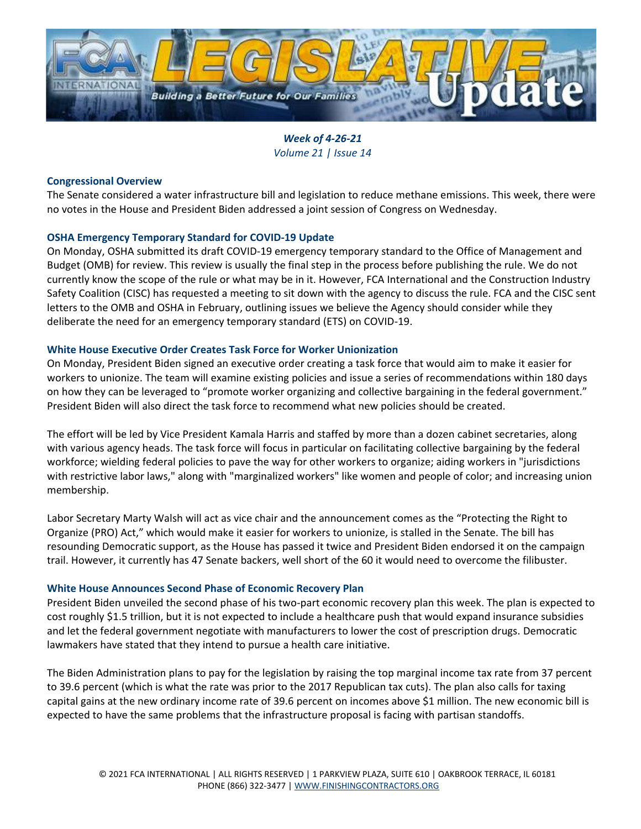

*Week of 4-26-21 Volume 21 | Issue 14*

## **Congressional Overview**

The Senate considered a water infrastructure bill and legislation to reduce methane emissions. This week, there were no votes in the House and President Biden addressed a joint session of Congress on Wednesday.

# **OSHA Emergency Temporary Standard for COVID-19 Update**

On Monday, OSHA submitted its draft COVID-19 emergency temporary standard to the Office of Management and Budget (OMB) for review. This review is usually the final step in the process before publishing the rule. We do not currently know the scope of the rule or what may be in it. However, FCA International and the Construction Industry Safety Coalition (CISC) has requested a meeting to sit down with the agency to discuss the rule. FCA and the CISC sent letters to the OMB and OSHA in February, outlining issues we believe the Agency should consider while they deliberate the need for an emergency temporary standard (ETS) on COVID-19.

# **White House Executive Order Creates Task Force for Worker Unionization**

On Monday, President Biden signed an executive order creating a task force that would aim to make it easier for workers to unionize. The team will examine existing policies and issue a series of recommendations within 180 days on how they can be leveraged to "promote worker organizing and collective bargaining in the federal government." President Biden will also direct the task force to recommend what new policies should be created.

The effort will be led by Vice President Kamala Harris and staffed by more than a dozen cabinet secretaries, along with various agency heads. The task force will focus in particular on facilitating collective bargaining by the federal workforce; wielding federal policies to pave the way for other workers to organize; aiding workers in "jurisdictions with restrictive labor laws," along with "marginalized workers" like women and people of color; and increasing union membership.

Labor Secretary Marty Walsh will act as vice chair and the announcement comes as the "Protecting the Right to Organize (PRO) Act," which would make it easier for workers to unionize, is stalled in the Senate. The bill has resounding Democratic support, as the House has passed it twice and President Biden endorsed it on the campaign trail. However, it currently has 47 Senate backers, well short of the 60 it would need to overcome the filibuster.

## **White House Announces Second Phase of Economic Recovery Plan**

President Biden unveiled the second phase of his two-part economic recovery plan this week. The plan is expected to cost roughly \$1.5 trillion, but it is not expected to include a healthcare push that would expand insurance subsidies and let the federal government negotiate with manufacturers to lower the cost of prescription drugs. Democratic lawmakers have stated that they intend to pursue a health care initiative.

The Biden Administration plans to pay for the legislation by raising the top marginal income tax rate from 37 percent to 39.6 percent (which is what the rate was prior to the 2017 Republican tax cuts). The plan also calls for taxing capital gains at the new ordinary income rate of 39.6 percent on incomes above \$1 million. The new economic bill is expected to have the same problems that the infrastructure proposal is facing with partisan standoffs.